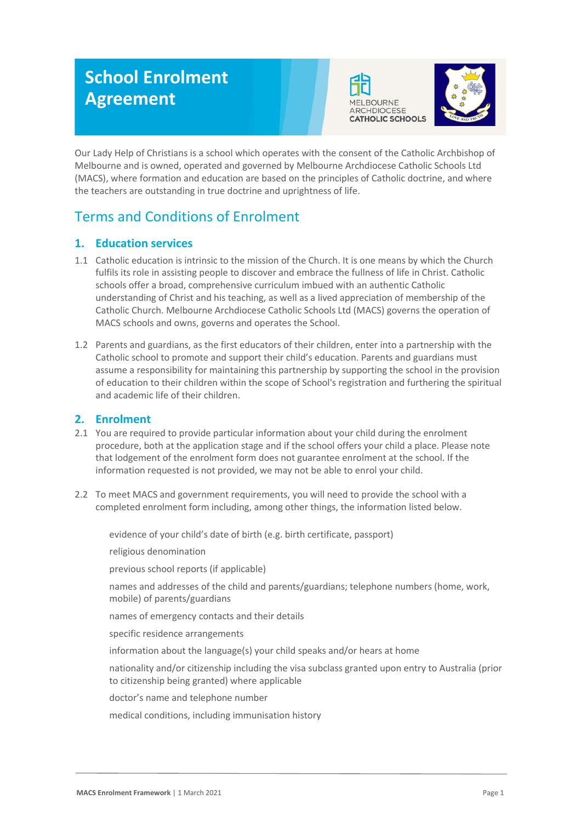# **School Enrolment Agreement**





Our Lady Help of Christians is a school which operates with the consent of the Catholic Archbishop of Melbourne and is owned, operated and governed by Melbourne Archdiocese Catholic Schools Ltd (MACS), where formation and education are based on the principles of Catholic doctrine, and where the teachers are outstanding in true doctrine and uprightness of life.

# Terms and Conditions of Enrolment

# **1. Education services**

- 1.1 Catholic education is intrinsic to the mission of the Church. It is one means by which the Church fulfils its role in assisting people to discover and embrace the fullness of life in Christ. Catholic schools offer a broad, comprehensive curriculum imbued with an authentic Catholic understanding of Christ and his teaching, as well as a lived appreciation of membership of the Catholic Church. Melbourne Archdiocese Catholic Schools Ltd (MACS) governs the operation of MACS schools and owns, governs and operates the School.
- 1.2 Parents and guardians, as the first educators of their children, enter into a partnership with the Catholic school to promote and support their child's education. Parents and guardians must assume a responsibility for maintaining this partnership by supporting the school in the provision of education to their children within the scope of School's registration and furthering the spiritual and academic life of their children.

# **2. Enrolment**

- 2.1 You are required to provide particular information about your child during the enrolment procedure, both at the application stage and if the school offers your child a place. Please note that lodgement of the enrolment form does not guarantee enrolment at the school. If the information requested is not provided, we may not be able to enrol your child.
- 2.2 To meet MACS and government requirements, you will need to provide the school with a completed enrolment form including, among other things, the information listed below.

evidence of your child's date of birth (e.g. birth certificate, passport)

religious denomination

previous school reports (if applicable)

names and addresses of the child and parents/guardians; telephone numbers (home, work, mobile) of parents/guardians

names of emergency contacts and their details

specific residence arrangements

information about the language(s) your child speaks and/or hears at home

nationality and/or citizenship including the visa subclass granted upon entry to Australia (prior to citizenship being granted) where applicable

doctor's name and telephone number

medical conditions, including immunisation history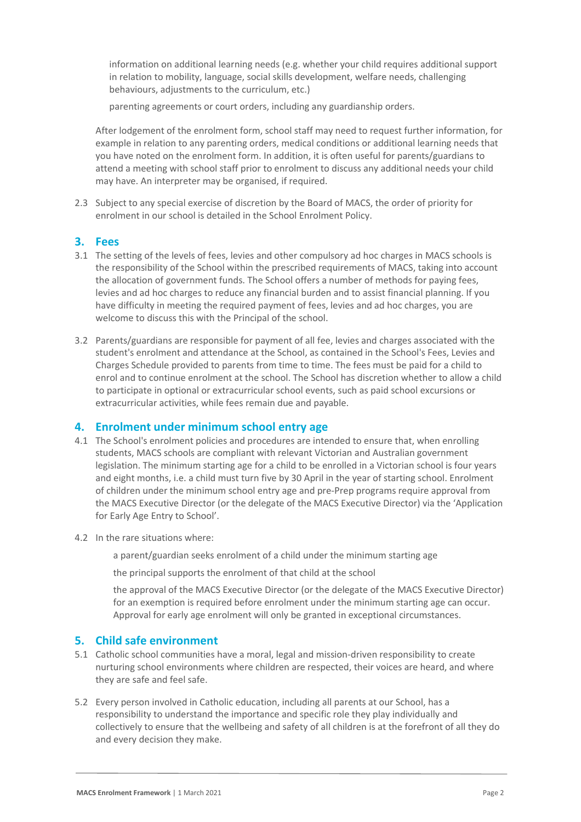information on additional learning needs (e.g. whether your child requires additional support in relation to mobility, language, social skills development, welfare needs, challenging behaviours, adjustments to the curriculum, etc.)

parenting agreements or court orders, including any guardianship orders.

After lodgement of the enrolment form, school staff may need to request further information, for example in relation to any parenting orders, medical conditions or additional learning needs that you have noted on the enrolment form. In addition, it is often useful for parents/guardians to attend a meeting with school staff prior to enrolment to discuss any additional needs your child may have. An interpreter may be organised, if required.

2.3 Subject to any special exercise of discretion by the Board of MACS, the order of priority for enrolment in our school is detailed in the School Enrolment Policy.

#### **3. Fees**

- 3.1 The setting of the levels of fees, levies and other compulsory ad hoc charges in MACS schools is the responsibility of the School within the prescribed requirements of MACS, taking into account the allocation of government funds. The School offers a number of methods for paying fees, levies and ad hoc charges to reduce any financial burden and to assist financial planning. If you have difficulty in meeting the required payment of fees, levies and ad hoc charges, you are welcome to discuss this with the Principal of the school.
- 3.2 Parents/guardians are responsible for payment of all fee, levies and charges associated with the student's enrolment and attendance at the School, as contained in the School's Fees, Levies and Charges Schedule provided to parents from time to time. The fees must be paid for a child to enrol and to continue enrolment at the school. The School has discretion whether to allow a child to participate in optional or extracurricular school events, such as paid school excursions or extracurricular activities, while fees remain due and payable.

#### **4. Enrolment under minimum school entry age**

- 4.1 The School's enrolment policies and procedures are intended to ensure that, when enrolling students, MACS schools are compliant with relevant Victorian and Australian government legislation. The minimum starting age for a child to be enrolled in a Victorian school is four years and eight months, i.e. a child must turn five by 30 April in the year of starting school. Enrolment of children under the minimum school entry age and pre-Prep programs require approval from the MACS Executive Director (or the delegate of the MACS Executive Director) via the 'Application for Early Age Entry to School'.
- 4.2 In the rare situations where:
	- a parent/guardian seeks enrolment of a child under the minimum starting age

the principal supports the enrolment of that child at the school

the approval of the MACS Executive Director (or the delegate of the MACS Executive Director) for an exemption is required before enrolment under the minimum starting age can occur. Approval for early age enrolment will only be granted in exceptional circumstances.

#### **5. Child safe environment**

- 5.1 Catholic school communities have a moral, legal and mission-driven responsibility to create nurturing school environments where children are respected, their voices are heard, and where they are safe and feel safe.
- 5.2 Every person involved in Catholic education, including all parents at our School, has a responsibility to understand the importance and specific role they play individually and collectively to ensure that the wellbeing and safety of all children is at the forefront of all they do and every decision they make.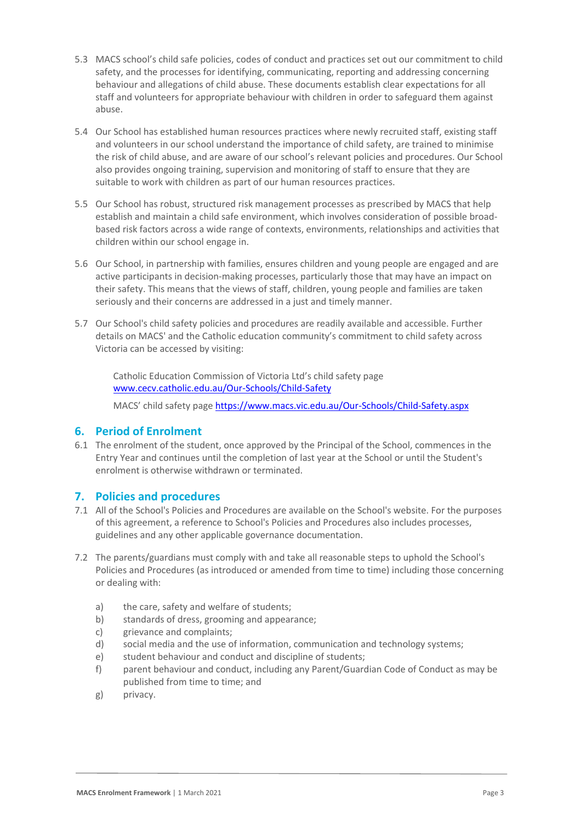- 5.3 MACS school's child safe policies, codes of conduct and practices set out our commitment to child safety, and the processes for identifying, communicating, reporting and addressing concerning behaviour and allegations of child abuse. These documents establish clear expectations for all staff and volunteers for appropriate behaviour with children in order to safeguard them against abuse.
- 5.4 Our School has established human resources practices where newly recruited staff, existing staff and volunteers in our school understand the importance of child safety, are trained to minimise the risk of child abuse, and are aware of our school's relevant policies and procedures. Our School also provides ongoing training, supervision and monitoring of staff to ensure that they are suitable to work with children as part of our human resources practices.
- 5.5 Our School has robust, structured risk management processes as prescribed by MACS that help establish and maintain a child safe environment, which involves consideration of possible broadbased risk factors across a wide range of contexts, environments, relationships and activities that children within our school engage in.
- 5.6 Our School, in partnership with families, ensures children and young people are engaged and are active participants in decision-making processes, particularly those that may have an impact on their safety. This means that the views of staff, children, young people and families are taken seriously and their concerns are addressed in a just and timely manner.
- 5.7 Our School's child safety policies and procedures are readily available and accessible. Further details on MACS' and the Catholic education community's commitment to child safety across Victoria can be accessed by visiting:

Catholic Education Commission of Victoria Ltd's child safety page [www.cecv.catholic.edu.au/Our-Schools/Child-Safety](http://www.cecv.catholic.edu.au/Our-Schools/Child-Safety)

MACS' child safety page <https://www.macs.vic.edu.au/Our-Schools/Child-Safety.aspx>

# **6. Period of Enrolment**

6.1 The enrolment of the student, once approved by the Principal of the School, commences in the Entry Year and continues until the completion of last year at the School or until the Student's enrolment is otherwise withdrawn or terminated.

#### **7. Policies and procedures**

- 7.1 All of the School's Policies and Procedures are available on the School's website. For the purposes of this agreement, a reference to School's Policies and Procedures also includes processes, guidelines and any other applicable governance documentation.
- 7.2 The parents/guardians must comply with and take all reasonable steps to uphold the School's Policies and Procedures (as introduced or amended from time to time) including those concerning or dealing with:
	- a) the care, safety and welfare of students;
	- b) standards of dress, grooming and appearance;
	- c) grievance and complaints;
	- d) social media and the use of information, communication and technology systems;
	- e) student behaviour and conduct and discipline of students;
	- f) parent behaviour and conduct, including any Parent/Guardian Code of Conduct as may be published from time to time; and
	- g) privacy.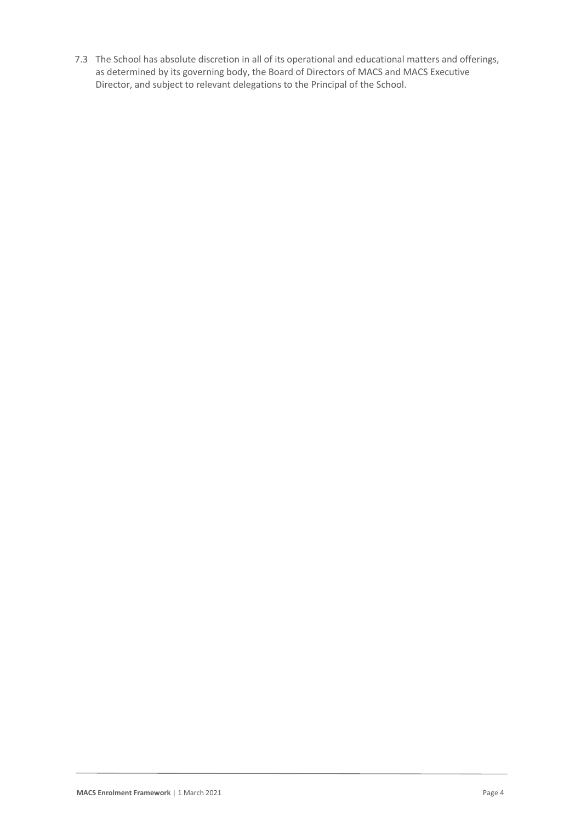7.3 The School has absolute discretion in all of its operational and educational matters and offerings, as determined by its governing body, the Board of Directors of MACS and MACS Executive Director, and subject to relevant delegations to the Principal of the School.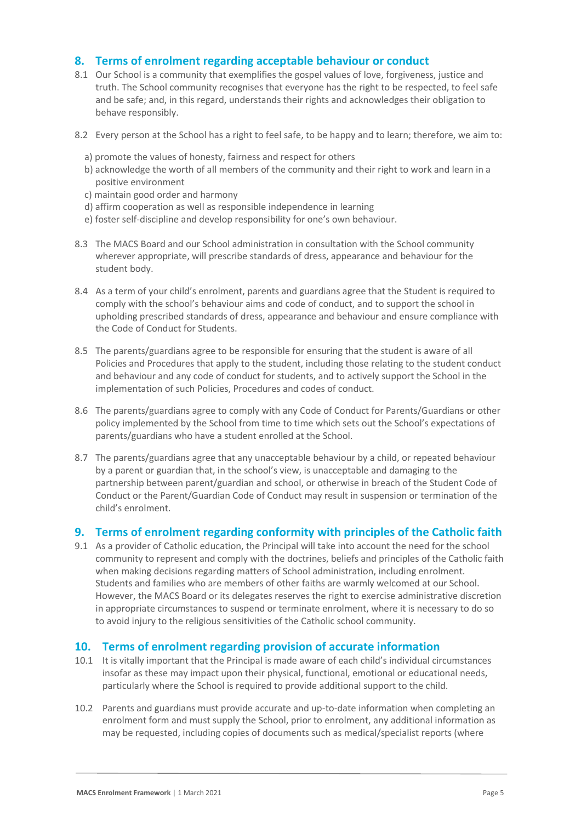## **8. Terms of enrolment regarding acceptable behaviour or conduct**

- 8.1 Our School is a community that exemplifies the gospel values of love, forgiveness, justice and truth. The School community recognises that everyone has the right to be respected, to feel safe and be safe; and, in this regard, understands their rights and acknowledges their obligation to behave responsibly.
- 8.2 Every person at the School has a right to feel safe, to be happy and to learn; therefore, we aim to:
	- a) promote the values of honesty, fairness and respect for others
	- b) acknowledge the worth of all members of the community and their right to work and learn in a positive environment
	- c) maintain good order and harmony
	- d) affirm cooperation as well as responsible independence in learning
	- e) foster self-discipline and develop responsibility for one's own behaviour.
- 8.3 The MACS Board and our School administration in consultation with the School community wherever appropriate, will prescribe standards of dress, appearance and behaviour for the student body.
- 8.4 As a term of your child's enrolment, parents and guardians agree that the Student is required to comply with the school's behaviour aims and code of conduct, and to support the school in upholding prescribed standards of dress, appearance and behaviour and ensure compliance with the Code of Conduct for Students.
- 8.5 The parents/guardians agree to be responsible for ensuring that the student is aware of all Policies and Procedures that apply to the student, including those relating to the student conduct and behaviour and any code of conduct for students, and to actively support the School in the implementation of such Policies, Procedures and codes of conduct.
- 8.6 The parents/guardians agree to comply with any Code of Conduct for Parents/Guardians or other policy implemented by the School from time to time which sets out the School's expectations of parents/guardians who have a student enrolled at the School.
- 8.7 The parents/guardians agree that any unacceptable behaviour by a child, or repeated behaviour by a parent or guardian that, in the school's view, is unacceptable and damaging to the partnership between parent/guardian and school, or otherwise in breach of the Student Code of Conduct or the Parent/Guardian Code of Conduct may result in suspension or termination of the child's enrolment.

#### **9. Terms of enrolment regarding conformity with principles of the Catholic faith**

9.1 As a provider of Catholic education, the Principal will take into account the need for the school community to represent and comply with the doctrines, beliefs and principles of the Catholic faith when making decisions regarding matters of School administration, including enrolment. Students and families who are members of other faiths are warmly welcomed at our School. However, the MACS Board or its delegates reserves the right to exercise administrative discretion in appropriate circumstances to suspend or terminate enrolment, where it is necessary to do so to avoid injury to the religious sensitivities of the Catholic school community.

#### **10. Terms of enrolment regarding provision of accurate information**

- 10.1 It is vitally important that the Principal is made aware of each child's individual circumstances insofar as these may impact upon their physical, functional, emotional or educational needs, particularly where the School is required to provide additional support to the child.
- 10.2 Parents and guardians must provide accurate and up-to-date information when completing an enrolment form and must supply the School, prior to enrolment, any additional information as may be requested, including copies of documents such as medical/specialist reports (where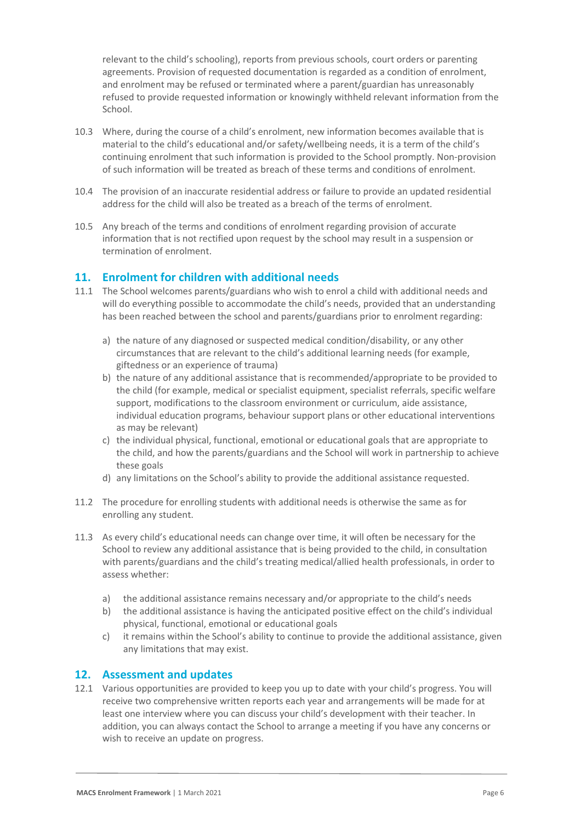relevant to the child's schooling), reports from previous schools, court orders or parenting agreements. Provision of requested documentation is regarded as a condition of enrolment, and enrolment may be refused or terminated where a parent/guardian has unreasonably refused to provide requested information or knowingly withheld relevant information from the School.

- 10.3 Where, during the course of a child's enrolment, new information becomes available that is material to the child's educational and/or safety/wellbeing needs, it is a term of the child's continuing enrolment that such information is provided to the School promptly. Non-provision of such information will be treated as breach of these terms and conditions of enrolment.
- 10.4 The provision of an inaccurate residential address or failure to provide an updated residential address for the child will also be treated as a breach of the terms of enrolment.
- 10.5 Any breach of the terms and conditions of enrolment regarding provision of accurate information that is not rectified upon request by the school may result in a suspension or termination of enrolment.

## **11. Enrolment for children with additional needs**

- 11.1 The School welcomes parents/guardians who wish to enrol a child with additional needs and will do everything possible to accommodate the child's needs, provided that an understanding has been reached between the school and parents/guardians prior to enrolment regarding:
	- a) the nature of any diagnosed or suspected medical condition/disability, or any other circumstances that are relevant to the child's additional learning needs (for example, giftedness or an experience of trauma)
	- b) the nature of any additional assistance that is recommended/appropriate to be provided to the child (for example, medical or specialist equipment, specialist referrals, specific welfare support, modifications to the classroom environment or curriculum, aide assistance, individual education programs, behaviour support plans or other educational interventions as may be relevant)
	- c) the individual physical, functional, emotional or educational goals that are appropriate to the child, and how the parents/guardians and the School will work in partnership to achieve these goals
	- d) any limitations on the School's ability to provide the additional assistance requested.
- 11.2 The procedure for enrolling students with additional needs is otherwise the same as for enrolling any student.
- 11.3 As every child's educational needs can change over time, it will often be necessary for the School to review any additional assistance that is being provided to the child, in consultation with parents/guardians and the child's treating medical/allied health professionals, in order to assess whether:
	- a) the additional assistance remains necessary and/or appropriate to the child's needs
	- b) the additional assistance is having the anticipated positive effect on the child's individual physical, functional, emotional or educational goals
	- c) it remains within the School's ability to continue to provide the additional assistance, given any limitations that may exist.

#### **12. Assessment and updates**

12.1 Various opportunities are provided to keep you up to date with your child's progress. You will receive two comprehensive written reports each year and arrangements will be made for at least one interview where you can discuss your child's development with their teacher. In addition, you can always contact the School to arrange a meeting if you have any concerns or wish to receive an update on progress.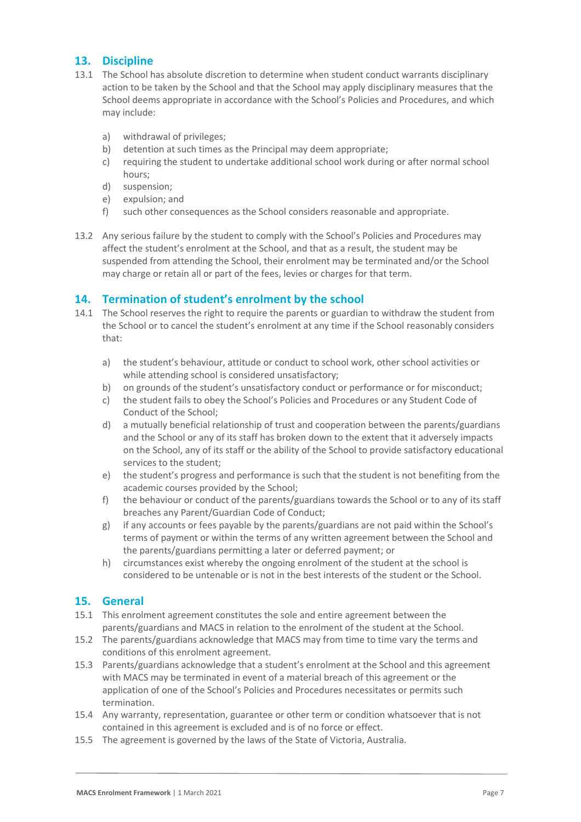# **13. Discipline**

- 13.1 The School has absolute discretion to determine when student conduct warrants disciplinary action to be taken by the School and that the School may apply disciplinary measures that the School deems appropriate in accordance with the School's Policies and Procedures, and which may include:
	- a) withdrawal of privileges;
	- b) detention at such times as the Principal may deem appropriate;
	- c) requiring the student to undertake additional school work during or after normal school hours;
	- d) suspension;
	- e) expulsion; and
	- f) such other consequences as the School considers reasonable and appropriate.
- 13.2 Any serious failure by the student to comply with the School's Policies and Procedures may affect the student's enrolment at the School, and that as a result, the student may be suspended from attending the School, their enrolment may be terminated and/or the School may charge or retain all or part of the fees, levies or charges for that term.

# **14. Termination of student's enrolment by the school**

- 14.1 The School reserves the right to require the parents or guardian to withdraw the student from the School or to cancel the student's enrolment at any time if the School reasonably considers that:
	- a) the student's behaviour, attitude or conduct to school work, other school activities or while attending school is considered unsatisfactory;
	- b) on grounds of the student's unsatisfactory conduct or performance or for misconduct;
	- c) the student fails to obey the School's Policies and Procedures or any Student Code of Conduct of the School;
	- d) a mutually beneficial relationship of trust and cooperation between the parents/guardians and the School or any of its staff has broken down to the extent that it adversely impacts on the School, any of its staff or the ability of the School to provide satisfactory educational services to the student;
	- e) the student's progress and performance is such that the student is not benefiting from the academic courses provided by the School;
	- f) the behaviour or conduct of the parents/guardians towards the School or to any of its staff breaches any Parent/Guardian Code of Conduct;
	- g) if any accounts or fees payable by the parents/guardians are not paid within the School's terms of payment or within the terms of any written agreement between the School and the parents/guardians permitting a later or deferred payment; or
	- h) circumstances exist whereby the ongoing enrolment of the student at the school is considered to be untenable or is not in the best interests of the student or the School.

#### **15. General**

- 15.1 This enrolment agreement constitutes the sole and entire agreement between the parents/guardians and MACS in relation to the enrolment of the student at the School.
- 15.2 The parents/guardians acknowledge that MACS may from time to time vary the terms and conditions of this enrolment agreement.
- 15.3 Parents/guardians acknowledge that a student's enrolment at the School and this agreement with MACS may be terminated in event of a material breach of this agreement or the application of one of the School's Policies and Procedures necessitates or permits such termination.
- 15.4 Any warranty, representation, guarantee or other term or condition whatsoever that is not contained in this agreement is excluded and is of no force or effect.
- 15.5 The agreement is governed by the laws of the State of Victoria, Australia.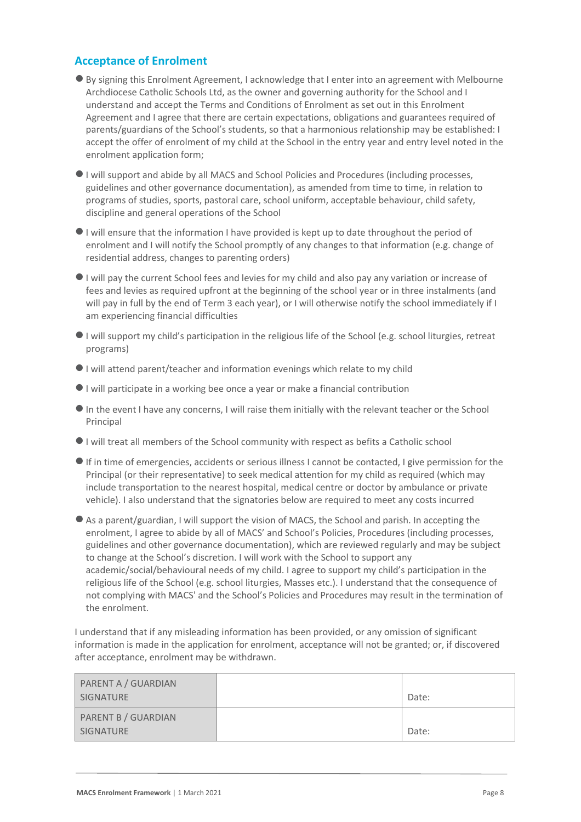# **Acceptance of Enrolment**

- ●By signing this Enrolment Agreement, I acknowledge that I enter into an agreement with Melbourne Archdiocese Catholic Schools Ltd, as the owner and governing authority for the School and I understand and accept the Terms and Conditions of Enrolment as set out in this Enrolment Agreement and I agree that there are certain expectations, obligations and guarantees required of parents/guardians of the School's students, so that a harmonious relationship may be established: I accept the offer of enrolment of my child at the School in the entry year and entry level noted in the enrolment application form;
- ●I will support and abide by all MACS and School Policies and Procedures (including processes, guidelines and other governance documentation), as amended from time to time, in relation to programs of studies, sports, pastoral care, school uniform, acceptable behaviour, child safety, discipline and general operations of the School
- ●I will ensure that the information I have provided is kept up to date throughout the period of enrolment and I will notify the School promptly of any changes to that information (e.g. change of residential address, changes to parenting orders)
- ●I will pay the current School fees and levies for my child and also pay any variation or increase of fees and levies as required upfront at the beginning of the school year or in three instalments (and will pay in full by the end of Term 3 each year), or I will otherwise notify the school immediately if I am experiencing financial difficulties
- ●I will support my child's participation in the religious life of the School (e.g. school liturgies, retreat programs)
- ●I will attend parent/teacher and information evenings which relate to my child
- ●I will participate in a working bee once a year or make a financial contribution
- ●In the event I have any concerns, I will raise them initially with the relevant teacher or the School Principal
- ●I will treat all members of the School community with respect as befits a Catholic school
- ●If in time of emergencies, accidents or serious illness I cannot be contacted, I give permission for the Principal (or their representative) to seek medical attention for my child as required (which may include transportation to the nearest hospital, medical centre or doctor by ambulance or private vehicle). I also understand that the signatories below are required to meet any costs incurred
- ●As a parent/guardian, I will support the vision of MACS, the School and parish. In accepting the enrolment, I agree to abide by all of MACS' and School's Policies, Procedures (including processes, guidelines and other governance documentation), which are reviewed regularly and may be subject to change at the School's discretion. I will work with the School to support any academic/social/behavioural needs of my child. I agree to support my child's participation in the religious life of the School (e.g. school liturgies, Masses etc.). I understand that the consequence of not complying with MACS' and the School's Policies and Procedures may result in the termination of the enrolment.

I understand that if any misleading information has been provided, or any omission of significant information is made in the application for enrolment, acceptance will not be granted; or, if discovered after acceptance, enrolment may be withdrawn.

| PARENT A / GUARDIAN<br>SIGNATURE        | Date: |
|-----------------------------------------|-------|
| <b>PARENT B / GUARDIAN</b><br>SIGNATURE | Date: |